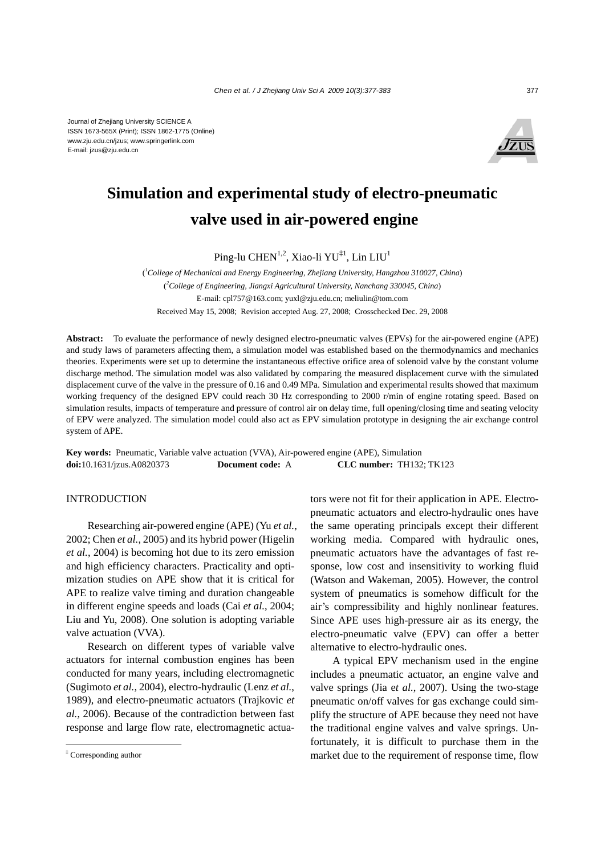

# **Simulation and experimental study of electro-pneumatic valve used in air-powered engine**

Ping-lu CHEN<sup>1,2</sup>, Xiao-li YU<sup>‡1</sup>, Lin LIU<sup>1</sup>

( *1 College of Mechanical and Energy Engineering, Zhejiang University, Hangzhou 310027, China*) ( *2 College of Engineering, Jiangxi Agricultural University, Nanchang 330045, China*) E-mail: cpl757@163.com; yuxl@zju.edu.cn; meliulin@tom.com Received May 15, 2008; Revision accepted Aug. 27, 2008; Crosschecked Dec. 29, 2008

**Abstract:** To evaluate the performance of newly designed electro-pneumatic valves (EPVs) for the air-powered engine (APE) and study laws of parameters affecting them, a simulation model was established based on the thermodynamics and mechanics theories. Experiments were set up to determine the instantaneous effective orifice area of solenoid valve by the constant volume discharge method. The simulation model was also validated by comparing the measured displacement curve with the simulated displacement curve of the valve in the pressure of 0.16 and 0.49 MPa. Simulation and experimental results showed that maximum working frequency of the designed EPV could reach 30 Hz corresponding to 2000 r/min of engine rotating speed. Based on simulation results, impacts of temperature and pressure of control air on delay time, full opening/closing time and seating velocity of EPV were analyzed. The simulation model could also act as EPV simulation prototype in designing the air exchange control system of APE.

**Key words:** Pneumatic, Variable valve actuation (VVA), Air-powered engine (APE), Simulation **doi:**10.1631/jzus.A0820373 **Document code:** A **CLC number:** TH132; TK123

# INTRODUCTION

Researching air-powered engine (APE) (Yu *et al.*, 2002; Chen *et al.*, 2005) and its hybrid power (Higelin *et al.*, 2004) is becoming hot due to its zero emission and high efficiency characters. Practicality and optimization studies on APE show that it is critical for APE to realize valve timing and duration changeable in different engine speeds and loads (Cai *et al.*, 2004; Liu and Yu, 2008). One solution is adopting variable valve actuation (VVA).

Research on different types of variable valve actuators for internal combustion engines has been conducted for many years, including electromagnetic (Sugimoto *et al.*, 2004), electro-hydraulic (Lenz *et al.*, 1989), and electro-pneumatic actuators (Trajkovic *et al.*, 2006). Because of the contradiction between fast response and large flow rate, electromagnetic actuators were not fit for their application in APE. Electropneumatic actuators and electro-hydraulic ones have the same operating principals except their different working media. Compared with hydraulic ones, pneumatic actuators have the advantages of fast response, low cost and insensitivity to working fluid (Watson and Wakeman, 2005). However, the control system of pneumatics is somehow difficult for the air's compressibility and highly nonlinear features. Since APE uses high-pressure air as its energy, the electro-pneumatic valve (EPV) can offer a better alternative to electro-hydraulic ones.

A typical EPV mechanism used in the engine includes a pneumatic actuator, an engine valve and valve springs (Jia e*t al.*, 2007). Using the two-stage pneumatic on/off valves for gas exchange could simplify the structure of APE because they need not have the traditional engine valves and valve springs. Unfortunately, it is difficult to purchase them in the market due to the requirement of response time, flow

<sup>‡</sup> Corresponding author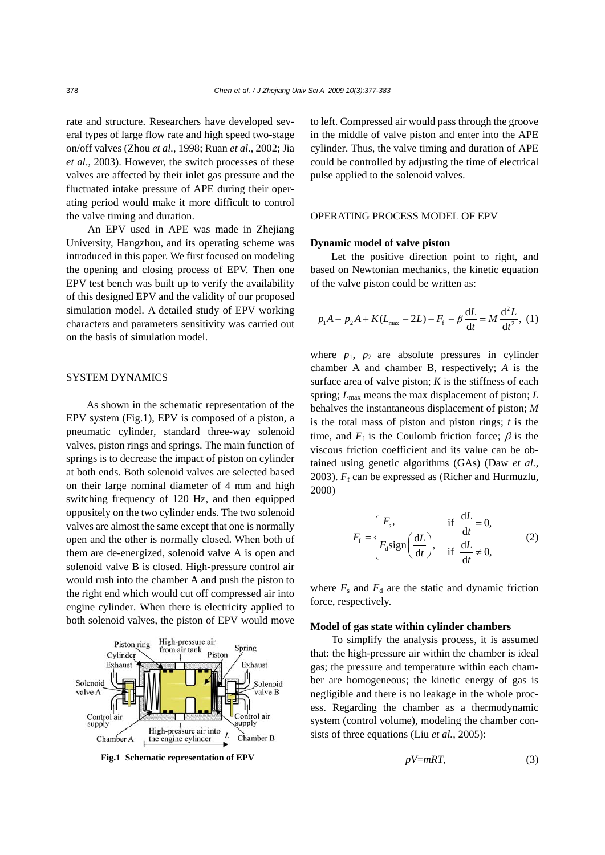rate and structure. Researchers have developed several types of large flow rate and high speed two-stage on/off valves (Zhou *et al.*, 1998; Ruan *et al.*, 2002; Jia *et al*., 2003). However, the switch processes of these valves are affected by their inlet gas pressure and the fluctuated intake pressure of APE during their operating period would make it more difficult to control the valve timing and duration.

An EPV used in APE was made in Zhejiang University, Hangzhou, and its operating scheme was introduced in this paper. We first focused on modeling the opening and closing process of EPV. Then one EPV test bench was built up to verify the availability of this designed EPV and the validity of our proposed simulation model. A detailed study of EPV working characters and parameters sensitivity was carried out on the basis of simulation model.

#### SYSTEM DYNAMICS

As shown in the schematic representation of the EPV system (Fig.1), EPV is composed of a piston, a pneumatic cylinder, standard three-way solenoid valves, piston rings and springs. The main function of springs is to decrease the impact of piston on cylinder at both ends. Both solenoid valves are selected based on their large nominal diameter of 4 mm and high switching frequency of 120 Hz, and then equipped oppositely on the two cylinder ends. The two solenoid valves are almost the same except that one is normally open and the other is normally closed. When both of them are de-energized, solenoid valve A is open and solenoid valve B is closed. High-pressure control air would rush into the chamber A and push the piston to the right end which would cut off compressed air into engine cylinder. When there is electricity applied to both solenoid valves, the piston of EPV would move



**Fig.1 Schematic representation of EPV** 

to left. Compressed air would pass through the groove in the middle of valve piston and enter into the APE cylinder. Thus, the valve timing and duration of APE could be controlled by adjusting the time of electrical pulse applied to the solenoid valves.

### OPERATING PROCESS MODEL OF EPV

## **Dynamic model of valve piston**

Let the positive direction point to right, and based on Newtonian mechanics, the kinetic equation of the valve piston could be written as:

$$
p_1 A - p_2 A + K(L_{\text{max}} - 2L) - F_f - \beta \frac{dL}{dt} = M \frac{d^2 L}{dt^2}, (1)
$$

where  $p_1$ ,  $p_2$  are absolute pressures in cylinder chamber A and chamber B, respectively; *A* is the surface area of valve piston;  $K$  is the stiffness of each spring; *L*max means the max displacement of piston; *L* behalves the instantaneous displacement of piston; *M* is the total mass of piston and piston rings; *t* is the time, and  $F_f$  is the Coulomb friction force;  $\beta$  is the viscous friction coefficient and its value can be obtained using genetic algorithms (GAs) (Daw *et al.*, 2003).  $F_f$  can be expressed as (Richer and Hurmuzlu, 2000)

$$
F_{\rm f} = \begin{cases} F_{\rm s}, & \text{if } \frac{dL}{dt} = 0, \\ F_{\rm d} \text{sign}\left(\frac{dL}{dt}\right), & \text{if } \frac{dL}{dt} \neq 0, \end{cases}
$$
 (2)

where  $F_s$  and  $F_d$  are the static and dynamic friction force, respectively.

#### **Model of gas state within cylinder chambers**

To simplify the analysis process, it is assumed that: the high-pressure air within the chamber is ideal gas; the pressure and temperature within each chamber are homogeneous; the kinetic energy of gas is negligible and there is no leakage in the whole process. Regarding the chamber as a thermodynamic system (control volume), modeling the chamber consists of three equations (Liu *et al.*, 2005):

$$
pV = mRT,\tag{3}
$$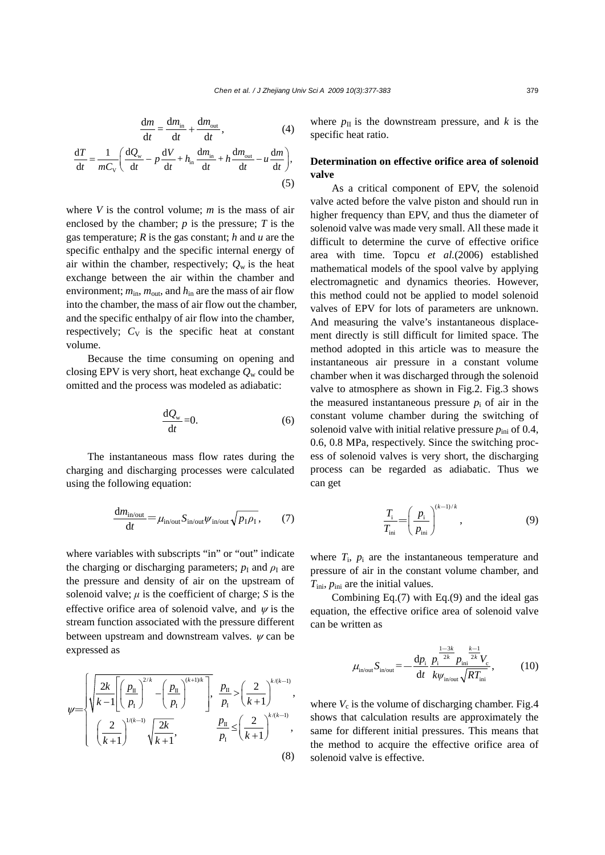$$
\frac{dm}{dt} = \frac{dm_{in}}{dt} + \frac{dm_{out}}{dt},
$$
\n(4)

$$
\frac{\mathrm{d}T}{\mathrm{d}t} = \frac{1}{mC_{\rm v}} \left( \frac{\mathrm{d}Q_{\rm w}}{\mathrm{d}t} - p \frac{\mathrm{d}V}{\mathrm{d}t} + h_{\rm in} \frac{\mathrm{d}m_{\rm in}}{\mathrm{d}t} + h \frac{\mathrm{d}m_{\rm out}}{\mathrm{d}t} - u \frac{\mathrm{d}m}{\mathrm{d}t} \right),\tag{5}
$$

where *V* is the control volume; *m* is the mass of air enclosed by the chamber; *p* is the pressure; *T* is the gas temperature; *R* is the gas constant; *h* and *u* are the specific enthalpy and the specific internal energy of air within the chamber, respectively;  $Q_w$  is the heat exchange between the air within the chamber and environment;  $m_{\text{in}}$ ,  $m_{\text{out}}$ , and  $h_{\text{in}}$  are the mass of air flow into the chamber, the mass of air flow out the chamber, and the specific enthalpy of air flow into the chamber, respectively;  $C_V$  is the specific heat at constant volume.

Because the time consuming on opening and closing EPV is very short, heat exchange  $Q_w$  could be omitted and the process was modeled as adiabatic:

$$
\frac{\mathrm{d}Q_{\mathrm{w}}}{\mathrm{d}t} = 0. \tag{6}
$$

The instantaneous mass flow rates during the charging and discharging processes were calculated using the following equation:

$$
\frac{dm_{\text{in/out}}}{dt} = \mu_{\text{in/out}} S_{\text{in/out}} \psi_{\text{in/out}} \sqrt{p_1 \rho_1},\tag{7}
$$

where variables with subscripts "in" or "out" indicate the charging or discharging parameters;  $p<sub>I</sub>$  and  $\rho<sub>I</sub>$  are the pressure and density of air on the upstream of solenoid valve;  $\mu$  is the coefficient of charge; *S* is the effective orifice area of solenoid valve, and  $\psi$  is the stream function associated with the pressure different between upstream and downstream valves.  $\psi$  can be expressed as

$$
\psi = \begin{cases} \sqrt{\frac{2k}{k-1} \left[ \left( \frac{p_{\text{II}}}{p_{\text{I}}} \right)^{2/k} - \left( \frac{p_{\text{II}}}{p_{\text{I}}} \right)^{(k+1)/k} \right], & \frac{p_{\text{II}}}{p_{\text{I}}} > \left( \frac{2}{k+1} \right)^{k/(k-1)}, \\ \left( \frac{2}{k+1} \right)^{1/(k-1)} \sqrt{\frac{2k}{k+1}}, & \frac{p_{\text{II}}}{p_{\text{I}}} \le \left( \frac{2}{k+1} \right)^{k/(k-1)}, \end{cases} \tag{8}
$$

where  $p_{\text{II}}$  is the downstream pressure, and *k* is the specific heat ratio.

# **Determination on effective orifice area of solenoid valve**

As a critical component of EPV, the solenoid valve acted before the valve piston and should run in higher frequency than EPV, and thus the diameter of solenoid valve was made very small. All these made it difficult to determine the curve of effective orifice area with time. Topcu *et al.*(2006) established mathematical models of the spool valve by applying electromagnetic and dynamics theories. However, this method could not be applied to model solenoid valves of EPV for lots of parameters are unknown. And measuring the valve's instantaneous displacement directly is still difficult for limited space. The method adopted in this article was to measure the instantaneous air pressure in a constant volume chamber when it was discharged through the solenoid valve to atmosphere as shown in Fig.2. Fig.3 shows the measured instantaneous pressure  $p_i$  of air in the constant volume chamber during the switching of solenoid valve with initial relative pressure  $p_{\text{ini}}$  of 0.4, 0.6, 0.8 MPa, respectively. Since the switching process of solenoid valves is very short, the discharging process can be regarded as adiabatic. Thus we can get

$$
\frac{T_{\rm i}}{T_{\rm ini}} = \left(\frac{p_{\rm i}}{p_{\rm ini}}\right)^{(k-1)/k},\tag{9}
$$

where  $T_i$ ,  $p_i$  are the instantaneous temperature and pressure of air in the constant volume chamber, and *T*<sub>ini</sub>,  $p_{\text{ini}}$  are the initial values.

Combining Eq.(7) with Eq.(9) and the ideal gas equation, the effective orifice area of solenoid valve can be written as

$$
\mu_{\text{in/out}} S_{\text{in/out}} = -\frac{\mathrm{d}p_{\text{i}}}{\mathrm{d}t} \frac{p_{\text{i}}^{\frac{1-3k}{2k}} p_{\text{ini}}^{\frac{k-1}{2k}} V_{\text{c}}}{k \psi_{\text{in/out}} \sqrt{RT_{\text{ini}}}},\tag{10}
$$

where  $V_c$  is the volume of discharging chamber. Fig.4 shows that calculation results are approximately the same for different initial pressures. This means that the method to acquire the effective orifice area of solenoid valve is effective.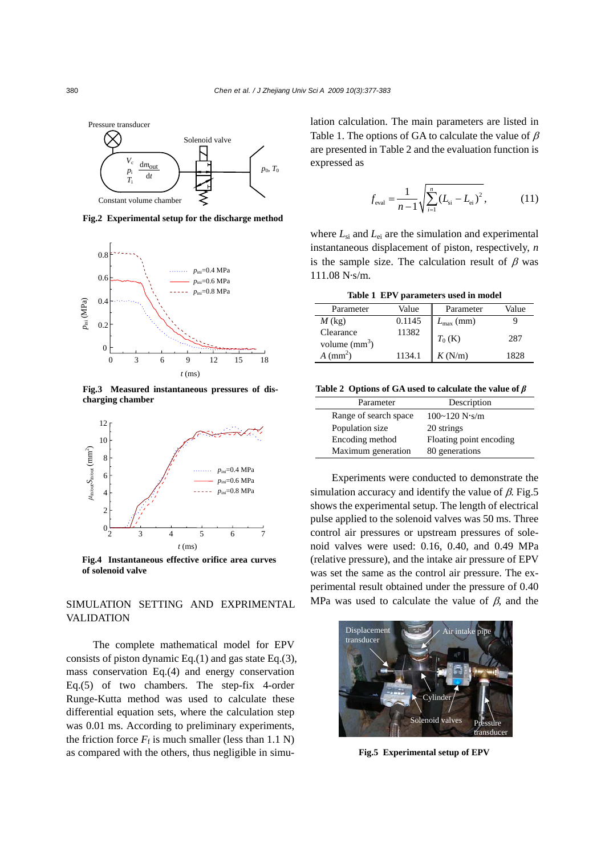

**Fig.2 Experimental setup for the discharge method**



**Fig.3 Measured instantaneous pressures of discharging chamber**



**Fig.4 Instantaneous effective orifice area curves of solenoid valve**

# SIMULATION SETTING AND EXPRIMENTAL VALIDATION

The complete mathematical model for EPV consists of piston dynamic Eq.(1) and gas state Eq.(3), mass conservation Eq.(4) and energy conservation Eq.(5) of two chambers. The step-fix 4-order Runge-Kutta method was used to calculate these differential equation sets, where the calculation step was 0.01 ms. According to preliminary experiments, the friction force  $F_f$  is much smaller (less than 1.1 N) as compared with the others, thus negligible in simulation calculation. The main parameters are listed in Table 1. The options of GA to calculate the value of  $\beta$ are presented in Table 2 and the evaluation function is expressed as

$$
f_{\text{eval}} = \frac{1}{n-1} \sqrt{\sum_{i=1}^{n} (L_{\text{si}} - L_{\text{ei}})^2},
$$
 (11)

where  $L_{si}$  and  $L_{ei}$  are the simulation and experimental instantaneous displacement of piston, respectively, *n* is the sample size. The calculation result of  $\beta$  was 111.08 N·s/m.

**Table 1 EPV parameters used in model**

| Parameter                    | Value  | Parameter             | Value |
|------------------------------|--------|-----------------------|-------|
| $M$ (kg)                     | 0.1145 | $L_{\text{max}}$ (mm) |       |
| Clearance<br>volume $(mm^3)$ | 11382  | $T_0$ (K)             | 287   |
| $A \text{ (mm}^2)$           | 1134.1 | K(N/m)                | 1828  |

**Table 2 Options of GA used to calculate the value of** *β*

| Parameter             | Description             |  |
|-----------------------|-------------------------|--|
| Range of search space | 100~120 N·s/m           |  |
| Population size       | 20 strings              |  |
| Encoding method       | Floating point encoding |  |
| Maximum generation    | 80 generations          |  |

Experiments were conducted to demonstrate the simulation accuracy and identify the value of  $\beta$ . Fig.5 shows the experimental setup. The length of electrical pulse applied to the solenoid valves was 50 ms. Three control air pressures or upstream pressures of solenoid valves were used: 0.16, 0.40, and 0.49 MPa (relative pressure), and the intake air pressure of EPV was set the same as the control air pressure. The experimental result obtained under the pressure of 0.40 MPa was used to calculate the value of  $\beta$ , and the



**Fig.5 Experimental setup of EPV**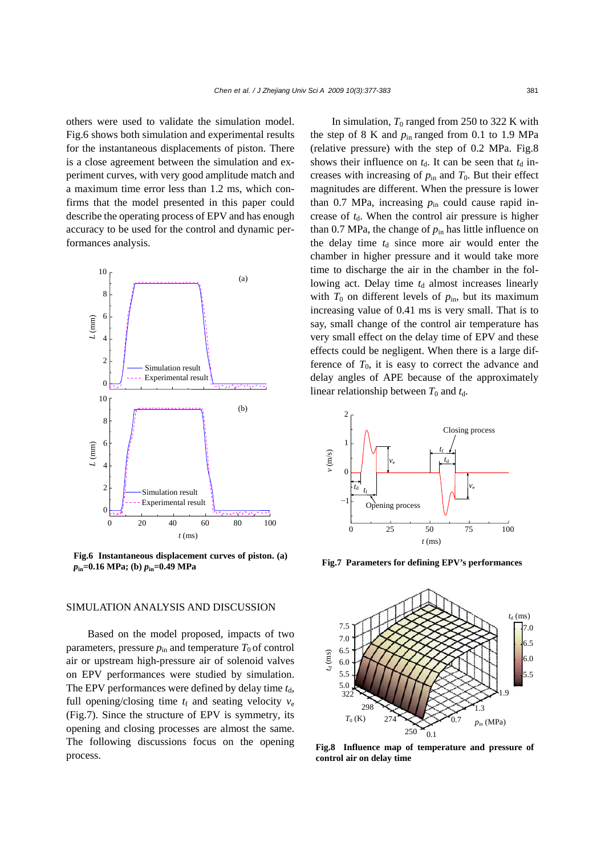others were used to validate the simulation model. Fig.6 shows both simulation and experimental results for the instantaneous displacements of piston. There is a close agreement between the simulation and experiment curves, with very good amplitude match and a maximum time error less than 1.2 ms, which confirms that the model presented in this paper could describe the operating process of EPV and has enough accuracy to be used for the control and dynamic performances analysis.



**Fig.6 Instantaneous displacement curves of piston. (a)** *p***in=0.16 MPa; (b)** *p***in=0.49 MPa**

# SIMULATION ANALYSIS AND DISCUSSION

Based on the model proposed, impacts of two parameters, pressure  $p_{in}$  and temperature  $T_0$  of control air or upstream high-pressure air of solenoid valves on EPV performances were studied by simulation. The EPV performances were defined by delay time  $t_d$ , full opening/closing time  $t_f$  and seating velocity  $v_e$ (Fig.7). Since the structure of EPV is symmetry, its opening and closing processes are almost the same. The following discussions focus on the opening process.

In simulation,  $T_0$  ranged from 250 to 322 K with the step of 8 K and  $p_{in}$  ranged from 0.1 to 1.9 MPa (relative pressure) with the step of 0.2 MPa. Fig.8 shows their influence on  $t_d$ . It can be seen that  $t_d$  increases with increasing of  $p_{in}$  and  $T_0$ . But their effect magnitudes are different. When the pressure is lower than  $0.7$  MPa, increasing  $p_{in}$  could cause rapid increase of  $t<sub>d</sub>$ . When the control air pressure is higher than 0.7 MPa, the change of  $p_{in}$  has little influence on the delay time  $t<sub>d</sub>$  since more air would enter the chamber in higher pressure and it would take more time to discharge the air in the chamber in the following act. Delay time  $t_d$  almost increases linearly with  $T_0$  on different levels of  $p_{\text{in}}$ , but its maximum increasing value of 0.41 ms is very small. That is to say, small change of the control air temperature has very small effect on the delay time of EPV and these effects could be negligent. When there is a large difference of  $T_0$ , it is easy to correct the advance and delay angles of APE because of the approximately linear relationship between  $T_0$  and  $t_d$ .



**Fig.7 Parameters for defining EPV's performances**



**Fig.8 Influence map of temperature and pressure of control air on delay time**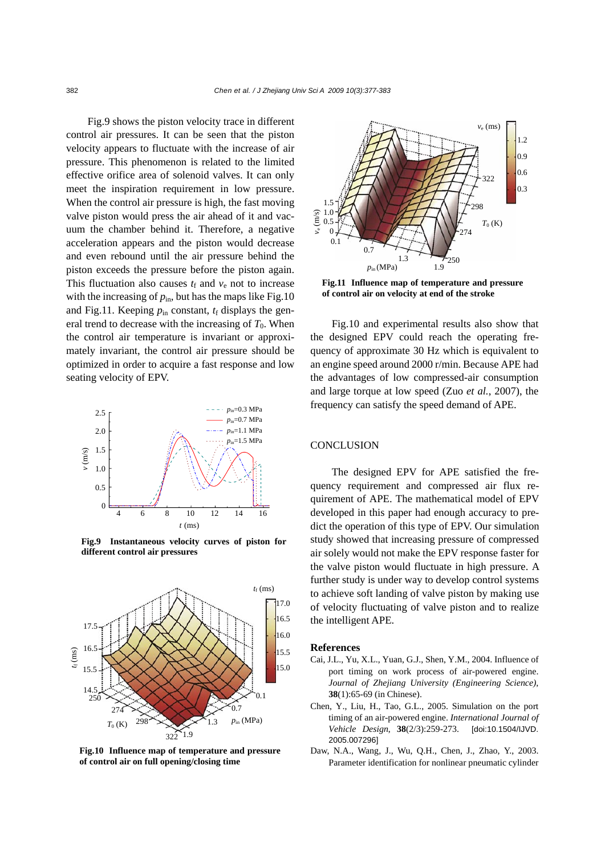Fig.9 shows the piston velocity trace in different control air pressures. It can be seen that the piston velocity appears to fluctuate with the increase of air pressure. This phenomenon is related to the limited effective orifice area of solenoid valves. It can only meet the inspiration requirement in low pressure. When the control air pressure is high, the fast moving valve piston would press the air ahead of it and vacuum the chamber behind it. Therefore, a negative acceleration appears and the piston would decrease and even rebound until the air pressure behind the piston exceeds the pressure before the piston again. This fluctuation also causes  $t_f$  and  $v_e$  not to increase with the increasing of  $p_{in}$ , but has the maps like Fig.10 and Fig.11. Keeping  $p_{in}$  constant,  $t_f$  displays the general trend to decrease with the increasing of  $T_0$ . When the control air temperature is invariant or approximately invariant, the control air pressure should be optimized in order to acquire a fast response and low seating velocity of EPV.



**Fig.9 Instantaneous velocity curves of piston for Fig.9 Instantaneous velocity curves of piston for different control air pressures different control air pressures**



**Fig.10 Influence map of temperature and pressure of control air on full opening/closing time**



**Fig.11 Influence map of temperature and pressure of control air on velocity at end of the stroke**

Fig.10 and experimental results also show that the designed EPV could reach the operating frequency of approximate 30 Hz which is equivalent to an engine speed around 2000 r/min. Because APE had the advantages of low compressed-air consumption and large torque at low speed (Zuo *et al.*, 2007), the frequency can satisfy the speed demand of APE.

## **CONCLUSION**

The designed EPV for APE satisfied the frequency requirement and compressed air flux requirement of APE. The mathematical model of EPV developed in this paper had enough accuracy to predict the operation of this type of EPV. Our simulation study showed that increasing pressure of compressed air solely would not make the EPV response faster for the valve piston would fluctuate in high pressure. A further study is under way to develop control systems to achieve soft landing of valve piston by making use of velocity fluctuating of valve piston and to realize the intelligent APE.

#### **References**

- Cai, J.L., Yu, X.L., Yuan, G.J., Shen, Y.M., 2004. Influence of port timing on work process of air-powered engine. *Journal of Zhejiang University (Engineering Science)*, **38**(1):65-69 (in Chinese).
- Chen, Y., Liu, H., Tao, G.L., 2005. Simulation on the port timing of an air-powered engine. *International Journal of Vehicle Design*, **38**(2/3):259-273. [doi:10.1504/IJVD. 2005.007296]
- Daw, N.A., Wang, J., Wu, Q.H., Chen, J., Zhao, Y., 2003. Parameter identification for nonlinear pneumatic cylinder